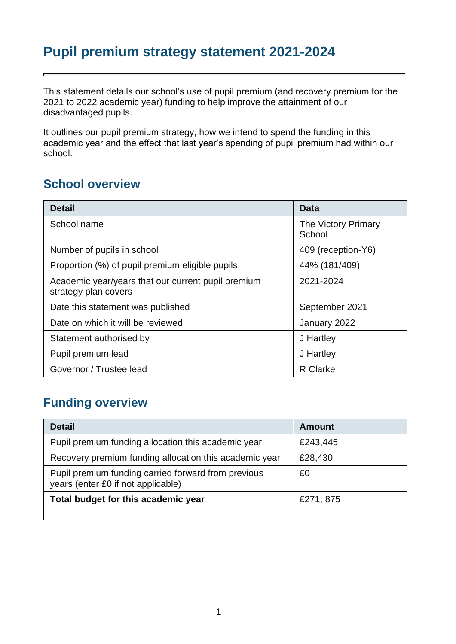# **Pupil premium strategy statement 2021-2024**

This statement details our school's use of pupil premium (and recovery premium for the 2021 to 2022 academic year) funding to help improve the attainment of our disadvantaged pupils.

It outlines our pupil premium strategy, how we intend to spend the funding in this academic year and the effect that last year's spending of pupil premium had within our school.

#### **School overview**

| <b>Detail</b>                                                              | Data                          |
|----------------------------------------------------------------------------|-------------------------------|
| School name                                                                | The Victory Primary<br>School |
| Number of pupils in school                                                 | 409 (reception-Y6)            |
| Proportion (%) of pupil premium eligible pupils                            | 44% (181/409)                 |
| Academic year/years that our current pupil premium<br>strategy plan covers | 2021-2024                     |
| Date this statement was published                                          | September 2021                |
| Date on which it will be reviewed                                          | January 2022                  |
| Statement authorised by                                                    | J Hartley                     |
| Pupil premium lead                                                         | J Hartley                     |
| Governor / Trustee lead                                                    | <b>R</b> Clarke               |

### **Funding overview**

| <b>Detail</b>                                                                             | <b>Amount</b> |
|-------------------------------------------------------------------------------------------|---------------|
| Pupil premium funding allocation this academic year                                       | £243,445      |
| Recovery premium funding allocation this academic year                                    | £28,430       |
| Pupil premium funding carried forward from previous<br>years (enter £0 if not applicable) | £0            |
| Total budget for this academic year                                                       | £271, 875     |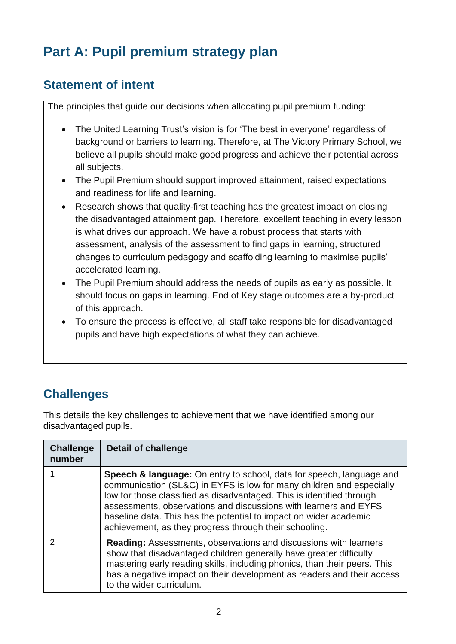# **Part A: Pupil premium strategy plan**

### **Statement of intent**

The principles that guide our decisions when allocating pupil premium funding:

- The United Learning Trust's vision is for 'The best in everyone' regardless of background or barriers to learning. Therefore, at The Victory Primary School, we believe all pupils should make good progress and achieve their potential across all subjects.
- The Pupil Premium should support improved attainment, raised expectations and readiness for life and learning.
- Research shows that quality-first teaching has the greatest impact on closing the disadvantaged attainment gap. Therefore, excellent teaching in every lesson is what drives our approach. We have a robust process that starts with assessment, analysis of the assessment to find gaps in learning, structured changes to curriculum pedagogy and scaffolding learning to maximise pupils' accelerated learning.
- The Pupil Premium should address the needs of pupils as early as possible. It should focus on gaps in learning. End of Key stage outcomes are a by-product of this approach.
- To ensure the process is effective, all staff take responsible for disadvantaged pupils and have high expectations of what they can achieve.

# **Challenges**

This details the key challenges to achievement that we have identified among our disadvantaged pupils.

| <b>Challenge</b><br>number | <b>Detail of challenge</b>                                                                                                                                                                                                                                                                                                                                                                                                          |
|----------------------------|-------------------------------------------------------------------------------------------------------------------------------------------------------------------------------------------------------------------------------------------------------------------------------------------------------------------------------------------------------------------------------------------------------------------------------------|
|                            | <b>Speech &amp; language:</b> On entry to school, data for speech, language and<br>communication (SL&C) in EYFS is low for many children and especially<br>low for those classified as disadvantaged. This is identified through<br>assessments, observations and discussions with learners and EYFS<br>baseline data. This has the potential to impact on wider academic<br>achievement, as they progress through their schooling. |
| 2                          | <b>Reading:</b> Assessments, observations and discussions with learners<br>show that disadvantaged children generally have greater difficulty<br>mastering early reading skills, including phonics, than their peers. This<br>has a negative impact on their development as readers and their access<br>to the wider curriculum.                                                                                                    |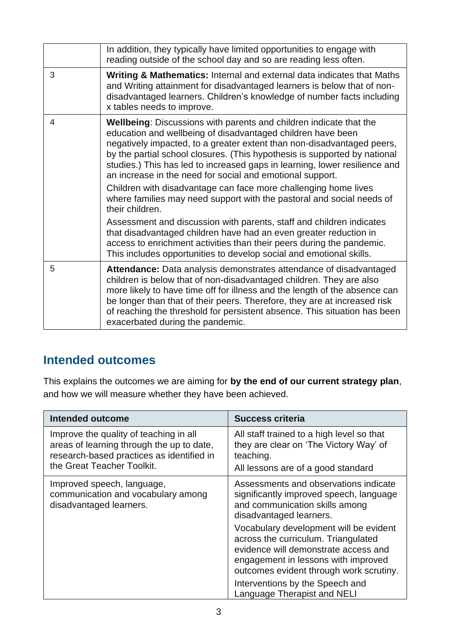|   | In addition, they typically have limited opportunities to engage with<br>reading outside of the school day and so are reading less often.                                                                                                                                                                                                                                                                                                  |
|---|--------------------------------------------------------------------------------------------------------------------------------------------------------------------------------------------------------------------------------------------------------------------------------------------------------------------------------------------------------------------------------------------------------------------------------------------|
| 3 | Writing & Mathematics: Internal and external data indicates that Maths<br>and Writing attainment for disadvantaged learners is below that of non-<br>disadvantaged learners. Children's knowledge of number facts including<br>x tables needs to improve.                                                                                                                                                                                  |
| 4 | <b>Wellbeing:</b> Discussions with parents and children indicate that the<br>education and wellbeing of disadvantaged children have been<br>negatively impacted, to a greater extent than non-disadvantaged peers,<br>by the partial school closures. (This hypothesis is supported by national<br>studies.) This has led to increased gaps in learning, lower resilience and<br>an increase in the need for social and emotional support. |
|   | Children with disadvantage can face more challenging home lives<br>where families may need support with the pastoral and social needs of<br>their children.                                                                                                                                                                                                                                                                                |
|   | Assessment and discussion with parents, staff and children indicates<br>that disadvantaged children have had an even greater reduction in<br>access to enrichment activities than their peers during the pandemic.<br>This includes opportunities to develop social and emotional skills.                                                                                                                                                  |
| 5 | Attendance: Data analysis demonstrates attendance of disadvantaged<br>children is below that of non-disadvantaged children. They are also<br>more likely to have time off for illness and the length of the absence can<br>be longer than that of their peers. Therefore, they are at increased risk<br>of reaching the threshold for persistent absence. This situation has been<br>exacerbated during the pandemic.                      |

#### **Intended outcomes**

This explains the outcomes we are aiming for **by the end of our current strategy plan**, and how we will measure whether they have been achieved.

| <b>Intended outcome</b>                                                                                                                                        | <b>Success criteria</b>                                                                                                                                                                                                                                                                                                                                                                                                    |
|----------------------------------------------------------------------------------------------------------------------------------------------------------------|----------------------------------------------------------------------------------------------------------------------------------------------------------------------------------------------------------------------------------------------------------------------------------------------------------------------------------------------------------------------------------------------------------------------------|
| Improve the quality of teaching in all<br>areas of learning through the up to date,<br>research-based practices as identified in<br>the Great Teacher Toolkit. | All staff trained to a high level so that<br>they are clear on 'The Victory Way' of<br>teaching.<br>All lessons are of a good standard                                                                                                                                                                                                                                                                                     |
| Improved speech, language,<br>communication and vocabulary among<br>disadvantaged learners.                                                                    | Assessments and observations indicate<br>significantly improved speech, language<br>and communication skills among<br>disadvantaged learners.<br>Vocabulary development will be evident<br>across the curriculum. Triangulated<br>evidence will demonstrate access and<br>engagement in lessons with improved<br>outcomes evident through work scrutiny.<br>Interventions by the Speech and<br>Language Therapist and NELI |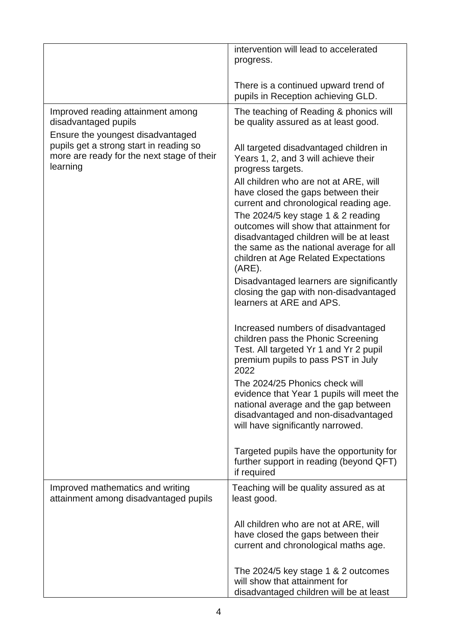|                                                                                                   | intervention will lead to accelerated<br>progress.                                                                                                                                                                         |
|---------------------------------------------------------------------------------------------------|----------------------------------------------------------------------------------------------------------------------------------------------------------------------------------------------------------------------------|
|                                                                                                   | There is a continued upward trend of<br>pupils in Reception achieving GLD.                                                                                                                                                 |
| Improved reading attainment among<br>disadvantaged pupils<br>Ensure the youngest disadvantaged    | The teaching of Reading & phonics will<br>be quality assured as at least good.                                                                                                                                             |
| pupils get a strong start in reading so<br>more are ready for the next stage of their<br>learning | All targeted disadvantaged children in<br>Years 1, 2, and 3 will achieve their<br>progress targets.                                                                                                                        |
|                                                                                                   | All children who are not at ARE, will<br>have closed the gaps between their<br>current and chronological reading age.                                                                                                      |
|                                                                                                   | The 2024/5 key stage 1 $&$ 2 reading<br>outcomes will show that attainment for<br>disadvantaged children will be at least<br>the same as the national average for all<br>children at Age Related Expectations<br>$(ARE)$ . |
|                                                                                                   | Disadvantaged learners are significantly<br>closing the gap with non-disadvantaged<br>learners at ARE and APS.                                                                                                             |
|                                                                                                   | Increased numbers of disadvantaged<br>children pass the Phonic Screening<br>Test. All targeted Yr 1 and Yr 2 pupil<br>premium pupils to pass PST in July<br>2022                                                           |
|                                                                                                   | The 2024/25 Phonics check will<br>evidence that Year 1 pupils will meet the<br>national average and the gap between<br>disadvantaged and non-disadvantaged<br>will have significantly narrowed.                            |
|                                                                                                   | Targeted pupils have the opportunity for<br>further support in reading (beyond QFT)<br>if required                                                                                                                         |
| Improved mathematics and writing<br>attainment among disadvantaged pupils                         | Teaching will be quality assured as at<br>least good.                                                                                                                                                                      |
|                                                                                                   | All children who are not at ARE, will<br>have closed the gaps between their<br>current and chronological maths age.                                                                                                        |
|                                                                                                   | The 2024/5 key stage 1 & 2 outcomes<br>will show that attainment for<br>disadvantaged children will be at least                                                                                                            |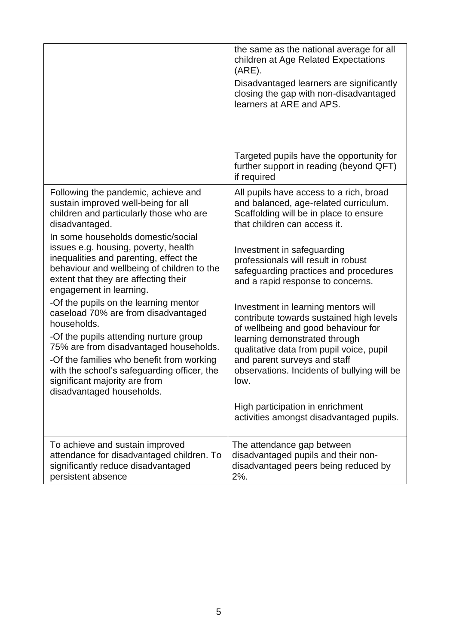|                                                                                                                                                                                                                                                                                                                                                                                                                                                                                                                                                                                                                                                                                                                               | the same as the national average for all<br>children at Age Related Expectations<br>$(ARE)$ .<br>Disadvantaged learners are significantly<br>closing the gap with non-disadvantaged<br>learners at ARE and APS.<br>Targeted pupils have the opportunity for<br>further support in reading (beyond QFT)<br>if required                                                                                                                                                                                                                                                                                                                                                                       |
|-------------------------------------------------------------------------------------------------------------------------------------------------------------------------------------------------------------------------------------------------------------------------------------------------------------------------------------------------------------------------------------------------------------------------------------------------------------------------------------------------------------------------------------------------------------------------------------------------------------------------------------------------------------------------------------------------------------------------------|---------------------------------------------------------------------------------------------------------------------------------------------------------------------------------------------------------------------------------------------------------------------------------------------------------------------------------------------------------------------------------------------------------------------------------------------------------------------------------------------------------------------------------------------------------------------------------------------------------------------------------------------------------------------------------------------|
| Following the pandemic, achieve and<br>sustain improved well-being for all<br>children and particularly those who are<br>disadvantaged.<br>In some households domestic/social<br>issues e.g. housing, poverty, health<br>inequalities and parenting, effect the<br>behaviour and wellbeing of children to the<br>extent that they are affecting their<br>engagement in learning.<br>-Of the pupils on the learning mentor<br>caseload 70% are from disadvantaged<br>households.<br>-Of the pupils attending nurture group<br>75% are from disadvantaged households.<br>-Of the families who benefit from working<br>with the school's safeguarding officer, the<br>significant majority are from<br>disadvantaged households. | All pupils have access to a rich, broad<br>and balanced, age-related curriculum.<br>Scaffolding will be in place to ensure<br>that children can access it.<br>Investment in safeguarding<br>professionals will result in robust<br>safeguarding practices and procedures<br>and a rapid response to concerns.<br>Investment in learning mentors will<br>contribute towards sustained high levels<br>of wellbeing and good behaviour for<br>learning demonstrated through<br>qualitative data from pupil voice, pupil<br>and parent surveys and staff<br>observations. Incidents of bullying will be<br>low.<br>High participation in enrichment<br>activities amongst disadvantaged pupils. |
| To achieve and sustain improved<br>attendance for disadvantaged children. To<br>significantly reduce disadvantaged<br>persistent absence                                                                                                                                                                                                                                                                                                                                                                                                                                                                                                                                                                                      | The attendance gap between<br>disadvantaged pupils and their non-<br>disadvantaged peers being reduced by<br>$2%$ .                                                                                                                                                                                                                                                                                                                                                                                                                                                                                                                                                                         |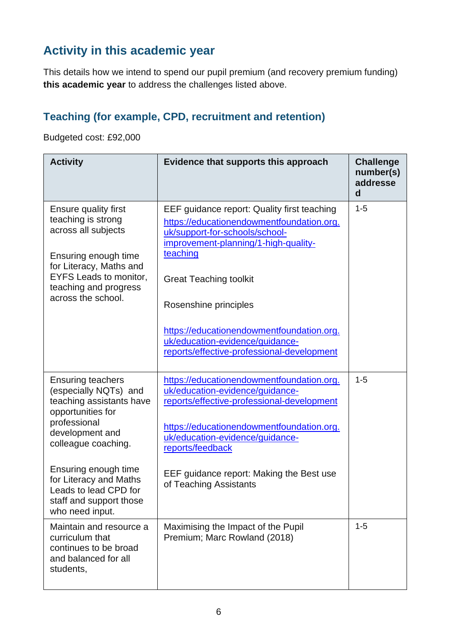## **Activity in this academic year**

This details how we intend to spend our pupil premium (and recovery premium funding) **this academic year** to address the challenges listed above.

### **Teaching (for example, CPD, recruitment and retention)**

Budgeted cost: £92,000

| <b>Activity</b>                                                                                                                                                                                                                                                    | Evidence that supports this approach                                                                                                                                                                                                                                                                                                                                   | <b>Challenge</b><br>number(s)<br>addresse<br>d |
|--------------------------------------------------------------------------------------------------------------------------------------------------------------------------------------------------------------------------------------------------------------------|------------------------------------------------------------------------------------------------------------------------------------------------------------------------------------------------------------------------------------------------------------------------------------------------------------------------------------------------------------------------|------------------------------------------------|
| <b>Ensure quality first</b><br>teaching is strong<br>across all subjects<br>Ensuring enough time<br>for Literacy, Maths and<br><b>EYFS Leads to monitor,</b><br>teaching and progress<br>across the school.                                                        | EEF guidance report: Quality first teaching<br>https://educationendowmentfoundation.org.<br>uk/support-for-schools/school-<br>improvement-planning/1-high-quality-<br>teaching<br><b>Great Teaching toolkit</b><br>Rosenshine principles<br>https://educationendowmentfoundation.org.<br>uk/education-evidence/guidance-<br>reports/effective-professional-development | $1 - 5$                                        |
| <b>Ensuring teachers</b><br>(especially NQTs) and<br>teaching assistants have<br>opportunities for<br>professional<br>development and<br>colleague coaching.<br>Ensuring enough time<br>for Literacy and Maths<br>Leads to lead CPD for<br>staff and support those | https://educationendowmentfoundation.org.<br>uk/education-evidence/guidance-<br>reports/effective-professional-development<br>https://educationendowmentfoundation.org.<br>uk/education-evidence/guidance-<br>reports/feedback<br>EEF guidance report: Making the Best use<br>of Teaching Assistants                                                                   | $1 - 5$                                        |
| who need input.<br>Maintain and resource a<br>curriculum that<br>continues to be broad<br>and balanced for all<br>students,                                                                                                                                        | Maximising the Impact of the Pupil<br>Premium; Marc Rowland (2018)                                                                                                                                                                                                                                                                                                     | $1 - 5$                                        |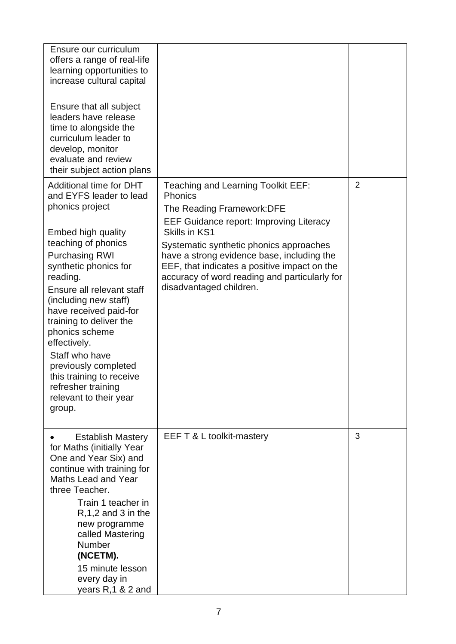| Ensure our curriculum<br>offers a range of real-life<br>learning opportunities to<br>increase cultural capital                                                                                                                                                                                                                                                                                                                                                |                                                                                                                                                                                                                                                                                                                                                                            |                |
|---------------------------------------------------------------------------------------------------------------------------------------------------------------------------------------------------------------------------------------------------------------------------------------------------------------------------------------------------------------------------------------------------------------------------------------------------------------|----------------------------------------------------------------------------------------------------------------------------------------------------------------------------------------------------------------------------------------------------------------------------------------------------------------------------------------------------------------------------|----------------|
| Ensure that all subject<br>leaders have release<br>time to alongside the<br>curriculum leader to<br>develop, monitor<br>evaluate and review<br>their subject action plans                                                                                                                                                                                                                                                                                     |                                                                                                                                                                                                                                                                                                                                                                            |                |
| Additional time for DHT<br>and EYFS leader to lead<br>phonics project<br>Embed high quality<br>teaching of phonics<br><b>Purchasing RWI</b><br>synthetic phonics for<br>reading.<br>Ensure all relevant staff<br>(including new staff)<br>have received paid-for<br>training to deliver the<br>phonics scheme<br>effectively.<br>Staff who have<br>previously completed<br>this training to receive<br>refresher training<br>relevant to their year<br>group. | Teaching and Learning Toolkit EEF:<br><b>Phonics</b><br>The Reading Framework: DFE<br><b>EEF Guidance report: Improving Literacy</b><br>Skills in KS1<br>Systematic synthetic phonics approaches<br>have a strong evidence base, including the<br>EEF, that indicates a positive impact on the<br>accuracy of word reading and particularly for<br>disadvantaged children. | $\overline{2}$ |
| <b>Establish Mastery</b><br>for Maths (initially Year<br>One and Year Six) and<br>continue with training for<br>Maths Lead and Year<br>three Teacher.<br>Train 1 teacher in<br>$R, 1, 2$ and 3 in the<br>new programme<br>called Mastering<br>Number<br>(NCETM).<br>15 minute lesson<br>every day in<br>years R, 1 & 2 and                                                                                                                                    | EEF T & L toolkit-mastery                                                                                                                                                                                                                                                                                                                                                  | 3              |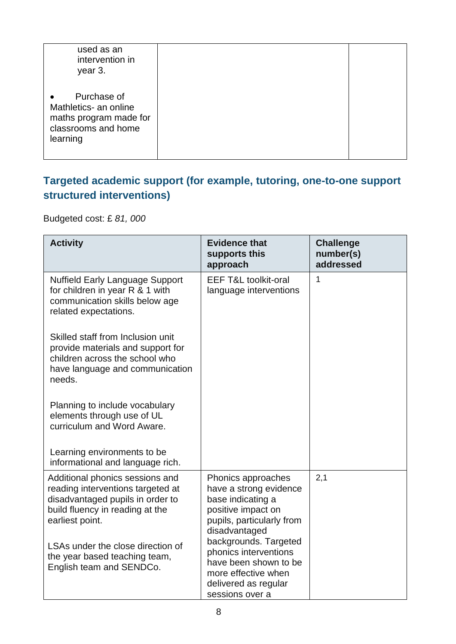| used as an<br>intervention in<br>year 3.                                                                       |  |
|----------------------------------------------------------------------------------------------------------------|--|
| Purchase of<br>$\bullet$<br>Mathletics- an online<br>maths program made for<br>classrooms and home<br>learning |  |

#### **Targeted academic support (for example, tutoring, one-to-one support structured interventions)**

Budgeted cost: £ *81, 000*

| <b>Activity</b>                                                                                                                                                | <b>Evidence that</b><br>supports this<br>approach                                                                                         | <b>Challenge</b><br>number(s)<br>addressed |
|----------------------------------------------------------------------------------------------------------------------------------------------------------------|-------------------------------------------------------------------------------------------------------------------------------------------|--------------------------------------------|
| <b>Nuffield Early Language Support</b><br>for children in year R & 1 with<br>communication skills below age<br>related expectations.                           | <b>EEF T&amp;L toolkit-oral</b><br>language interventions                                                                                 | 1                                          |
| Skilled staff from Inclusion unit<br>provide materials and support for<br>children across the school who<br>have language and communication<br>needs.          |                                                                                                                                           |                                            |
| Planning to include vocabulary<br>elements through use of UL<br>curriculum and Word Aware.                                                                     |                                                                                                                                           |                                            |
| Learning environments to be<br>informational and language rich.                                                                                                |                                                                                                                                           |                                            |
| Additional phonics sessions and<br>reading interventions targeted at<br>disadvantaged pupils in order to<br>build fluency in reading at the<br>earliest point. | Phonics approaches<br>have a strong evidence<br>base indicating a<br>positive impact on<br>pupils, particularly from<br>disadvantaged     | 2,1                                        |
| LSAs under the close direction of<br>the year based teaching team,<br>English team and SENDCo.                                                                 | backgrounds. Targeted<br>phonics interventions<br>have been shown to be<br>more effective when<br>delivered as regular<br>sessions over a |                                            |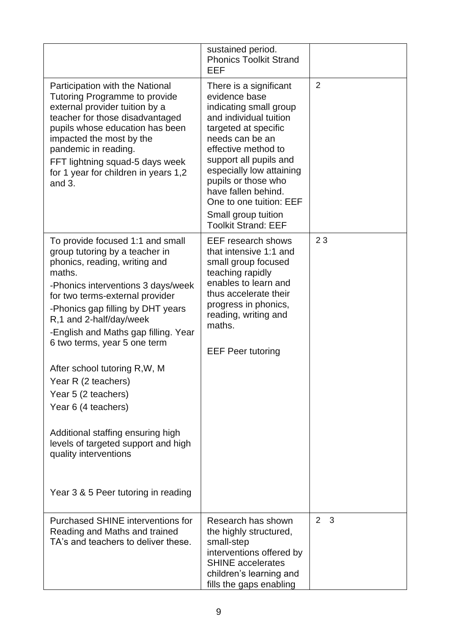|                                                                                                                                                                                                                                                                                                                                                                                                                                                                                                                                                                                  | sustained period.<br><b>Phonics Toolkit Strand</b><br>EEF                                                                                                                                                                                                                                                                                         |                     |
|----------------------------------------------------------------------------------------------------------------------------------------------------------------------------------------------------------------------------------------------------------------------------------------------------------------------------------------------------------------------------------------------------------------------------------------------------------------------------------------------------------------------------------------------------------------------------------|---------------------------------------------------------------------------------------------------------------------------------------------------------------------------------------------------------------------------------------------------------------------------------------------------------------------------------------------------|---------------------|
| Participation with the National<br><b>Tutoring Programme to provide</b><br>external provider tuition by a<br>teacher for those disadvantaged<br>pupils whose education has been<br>impacted the most by the<br>pandemic in reading.<br>FFT lightning squad-5 days week<br>for 1 year for children in years 1,2<br>and $3.$                                                                                                                                                                                                                                                       | There is a significant<br>evidence base<br>indicating small group<br>and individual tuition<br>targeted at specific<br>needs can be an<br>effective method to<br>support all pupils and<br>especially low attaining<br>pupils or those who<br>have fallen behind.<br>One to one tuition: EEF<br>Small group tuition<br><b>Toolkit Strand: EEF</b> | $\overline{2}$      |
| To provide focused 1:1 and small<br>group tutoring by a teacher in<br>phonics, reading, writing and<br>maths.<br>-Phonics interventions 3 days/week<br>for two terms-external provider<br>-Phonics gap filling by DHT years<br>R,1 and 2-half/day/week<br>-English and Maths gap filling. Year<br>6 two terms, year 5 one term<br>After school tutoring R, W, M<br>Year R (2 teachers)<br>Year 5 (2 teachers)<br>Year 6 (4 teachers)<br>Additional staffing ensuring high<br>levels of targeted support and high<br>quality interventions<br>Year 3 & 5 Peer tutoring in reading | <b>EEF</b> research shows<br>that intensive 1:1 and<br>small group focused<br>teaching rapidly<br>enables to learn and<br>thus accelerate their<br>progress in phonics,<br>reading, writing and<br>maths.<br><b>EEF Peer tutoring</b>                                                                                                             | 23                  |
| Purchased SHINE interventions for<br>Reading and Maths and trained<br>TA's and teachers to deliver these.                                                                                                                                                                                                                                                                                                                                                                                                                                                                        | Research has shown<br>the highly structured,<br>small-step<br>interventions offered by<br><b>SHINE</b> accelerates<br>children's learning and<br>fills the gaps enabling                                                                                                                                                                          | $\overline{2}$<br>3 |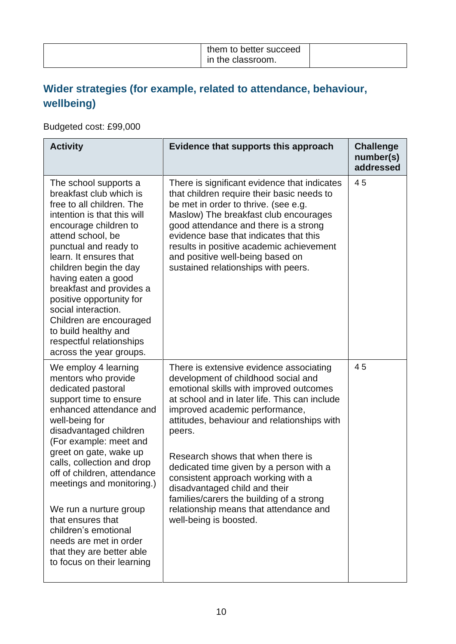### **Wider strategies (for example, related to attendance, behaviour, wellbeing)**

Budgeted cost: £99,000

| <b>Activity</b>                                                                                                                                                                                                                                                                                                                                                                                                                                                              | Evidence that supports this approach                                                                                                                                                                                                                                                                                                                                                                                                                                                                                                         | <b>Challenge</b><br>number(s)<br>addressed |
|------------------------------------------------------------------------------------------------------------------------------------------------------------------------------------------------------------------------------------------------------------------------------------------------------------------------------------------------------------------------------------------------------------------------------------------------------------------------------|----------------------------------------------------------------------------------------------------------------------------------------------------------------------------------------------------------------------------------------------------------------------------------------------------------------------------------------------------------------------------------------------------------------------------------------------------------------------------------------------------------------------------------------------|--------------------------------------------|
| The school supports a<br>breakfast club which is<br>free to all children. The<br>intention is that this will<br>encourage children to<br>attend school, be<br>punctual and ready to<br>learn. It ensures that<br>children begin the day<br>having eaten a good<br>breakfast and provides a<br>positive opportunity for<br>social interaction.<br>Children are encouraged<br>to build healthy and<br>respectful relationships<br>across the year groups.                      | There is significant evidence that indicates<br>that children require their basic needs to<br>be met in order to thrive. (see e.g.<br>Maslow) The breakfast club encourages<br>good attendance and there is a strong<br>evidence base that indicates that this<br>results in positive academic achievement<br>and positive well-being based on<br>sustained relationships with peers.                                                                                                                                                        | 45                                         |
| We employ 4 learning<br>mentors who provide<br>dedicated pastoral<br>support time to ensure<br>enhanced attendance and<br>well-being for<br>disadvantaged children<br>(For example: meet and<br>greet on gate, wake up<br>calls, collection and drop<br>off of children, attendance<br>meetings and monitoring.)<br>We run a nurture group<br>that ensures that<br>children's emotional<br>needs are met in order<br>that they are better able<br>to focus on their learning | There is extensive evidence associating<br>development of childhood social and<br>emotional skills with improved outcomes<br>at school and in later life. This can include<br>improved academic performance,<br>attitudes, behaviour and relationships with<br>peers.<br>Research shows that when there is<br>dedicated time given by a person with a<br>consistent approach working with a<br>disadvantaged child and their<br>families/carers the building of a strong<br>relationship means that attendance and<br>well-being is boosted. | 45                                         |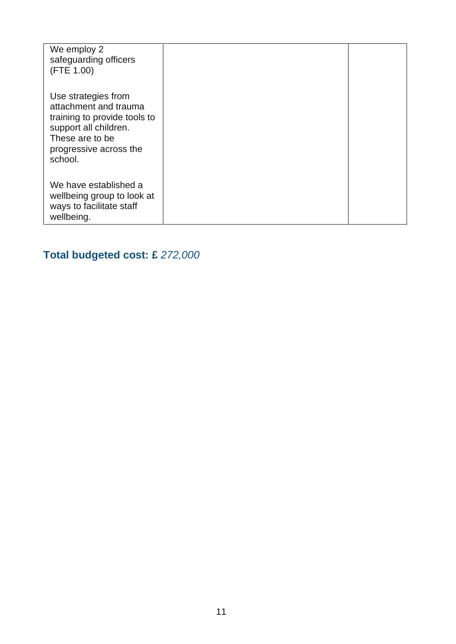| We employ 2<br>safeguarding officers<br>(FTE 1.00)                                                                                                            |  |
|---------------------------------------------------------------------------------------------------------------------------------------------------------------|--|
| Use strategies from<br>attachment and trauma<br>training to provide tools to<br>support all children.<br>These are to be<br>progressive across the<br>school. |  |
| We have established a<br>wellbeing group to look at<br>ways to facilitate staff<br>wellbeing.                                                                 |  |

# **Total budgeted cost: £** *272,000*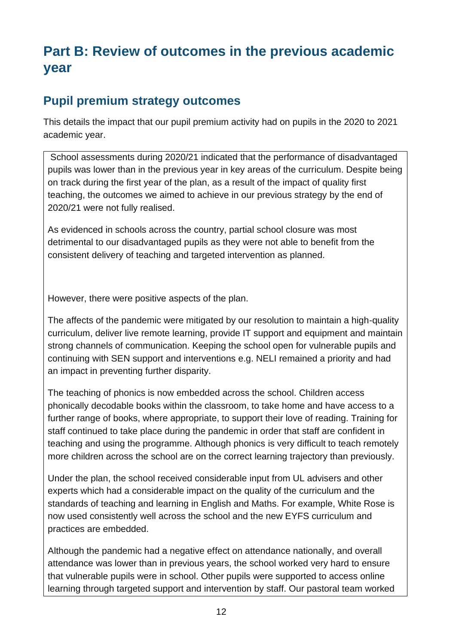# **Part B: Review of outcomes in the previous academic year**

### **Pupil premium strategy outcomes**

This details the impact that our pupil premium activity had on pupils in the 2020 to 2021 academic year.

School assessments during 2020/21 indicated that the performance of disadvantaged pupils was lower than in the previous year in key areas of the curriculum. Despite being on track during the first year of the plan, as a result of the impact of quality first teaching, the outcomes we aimed to achieve in our previous strategy by the end of 2020/21 were not fully realised.

As evidenced in schools across the country, partial school closure was most detrimental to our disadvantaged pupils as they were not able to benefit from the consistent delivery of teaching and targeted intervention as planned.

However, there were positive aspects of the plan.

The affects of the pandemic were mitigated by our resolution to maintain a high-quality curriculum, deliver live remote learning, provide IT support and equipment and maintain strong channels of communication. Keeping the school open for vulnerable pupils and continuing with SEN support and interventions e.g. NELI remained a priority and had an impact in preventing further disparity.

The teaching of phonics is now embedded across the school. Children access phonically decodable books within the classroom, to take home and have access to a further range of books, where appropriate, to support their love of reading. Training for staff continued to take place during the pandemic in order that staff are confident in teaching and using the programme. Although phonics is very difficult to teach remotely more children across the school are on the correct learning trajectory than previously.

Under the plan, the school received considerable input from UL advisers and other experts which had a considerable impact on the quality of the curriculum and the standards of teaching and learning in English and Maths. For example, White Rose is now used consistently well across the school and the new EYFS curriculum and practices are embedded.

Although the pandemic had a negative effect on attendance nationally, and overall attendance was lower than in previous years, the school worked very hard to ensure that vulnerable pupils were in school. Other pupils were supported to access online learning through targeted support and intervention by staff. Our pastoral team worked